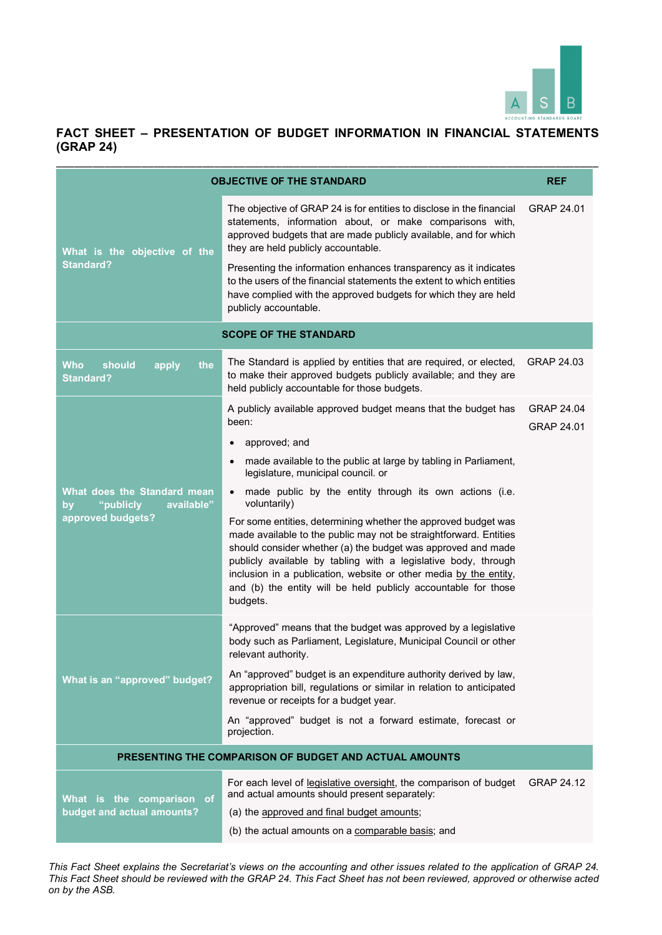

| <b>OBJECTIVE OF THE STANDARD</b>                             |                                                                                                                                                                                                                                                                                                                                                                                                                          | <b>REF</b>                             |
|--------------------------------------------------------------|--------------------------------------------------------------------------------------------------------------------------------------------------------------------------------------------------------------------------------------------------------------------------------------------------------------------------------------------------------------------------------------------------------------------------|----------------------------------------|
| What is the objective of the<br><b>Standard?</b>             | The objective of GRAP 24 is for entities to disclose in the financial<br>statements, information about, or make comparisons with,<br>approved budgets that are made publicly available, and for which<br>they are held publicly accountable.<br>Presenting the information enhances transparency as it indicates                                                                                                         | GRAP 24.01                             |
|                                                              | to the users of the financial statements the extent to which entities<br>have complied with the approved budgets for which they are held<br>publicly accountable.                                                                                                                                                                                                                                                        |                                        |
|                                                              | <b>SCOPE OF THE STANDARD</b>                                                                                                                                                                                                                                                                                                                                                                                             |                                        |
| <b>Who</b><br>should<br>the<br>apply<br><b>Standard?</b>     | The Standard is applied by entities that are required, or elected,<br>to make their approved budgets publicly available; and they are<br>held publicly accountable for those budgets.                                                                                                                                                                                                                                    | GRAP 24.03                             |
|                                                              | A publicly available approved budget means that the budget has<br>been:                                                                                                                                                                                                                                                                                                                                                  | <b>GRAP 24.04</b><br><b>GRAP 24.01</b> |
|                                                              | approved; and                                                                                                                                                                                                                                                                                                                                                                                                            |                                        |
|                                                              | made available to the public at large by tabling in Parliament,<br>legislature, municipal council. or                                                                                                                                                                                                                                                                                                                    |                                        |
| What does the Standard mean<br>"publicly<br>available"<br>by | made public by the entity through its own actions (i.e.<br>voluntarily)                                                                                                                                                                                                                                                                                                                                                  |                                        |
| approved budgets?                                            | For some entities, determining whether the approved budget was<br>made available to the public may not be straightforward. Entities<br>should consider whether (a) the budget was approved and made<br>publicly available by tabling with a legislative body, through<br>inclusion in a publication, website or other media by the entity,<br>and (b) the entity will be held publicly accountable for those<br>budgets. |                                        |
| What is an "approved" budget?                                | "Approved" means that the budget was approved by a legislative<br>body such as Parliament, Legislature, Municipal Council or other<br>relevant authority.                                                                                                                                                                                                                                                                |                                        |
|                                                              | An "approved" budget is an expenditure authority derived by law,<br>appropriation bill, regulations or similar in relation to anticipated<br>revenue or receipts for a budget year.                                                                                                                                                                                                                                      |                                        |
|                                                              | An "approved" budget is not a forward estimate, forecast or<br>projection.                                                                                                                                                                                                                                                                                                                                               |                                        |
|                                                              | PRESENTING THE COMPARISON OF BUDGET AND ACTUAL AMOUNTS                                                                                                                                                                                                                                                                                                                                                                   |                                        |
| What is the comparison of<br>budget and actual amounts?      | For each level of legislative oversight, the comparison of budget<br>and actual amounts should present separately:                                                                                                                                                                                                                                                                                                       | <b>GRAP 24.12</b>                      |
|                                                              | (a) the approved and final budget amounts;                                                                                                                                                                                                                                                                                                                                                                               |                                        |
|                                                              | (b) the actual amounts on a comparable basis; and                                                                                                                                                                                                                                                                                                                                                                        |                                        |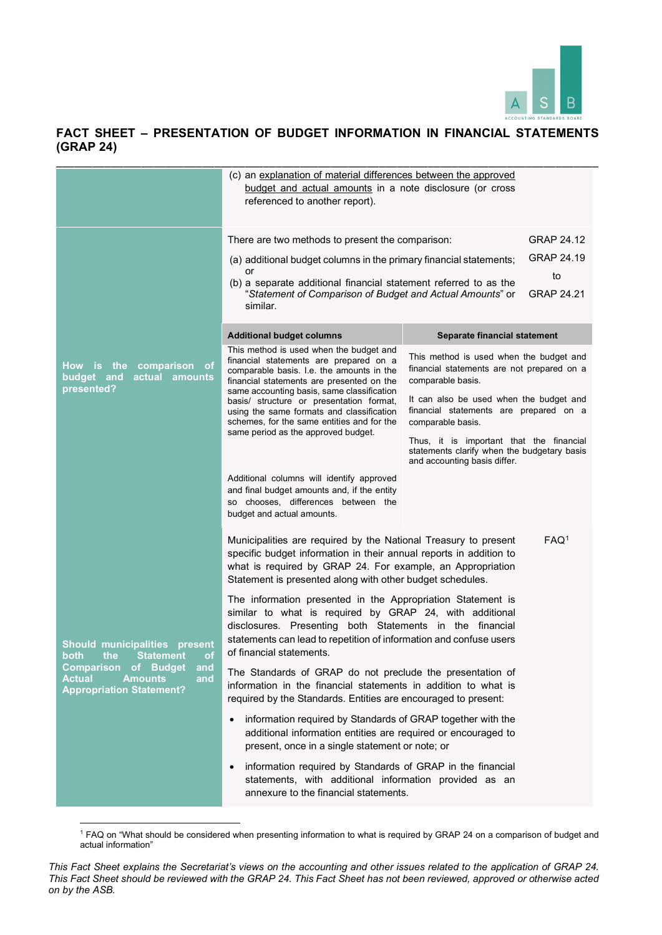

|                                                                                                                                                                                                 | (c) an explanation of material differences between the approved<br>budget and actual amounts in a note disclosure (or cross<br>referenced to another report).                                                                                                                                                                                                                                           |                                                                                                                         |
|-------------------------------------------------------------------------------------------------------------------------------------------------------------------------------------------------|---------------------------------------------------------------------------------------------------------------------------------------------------------------------------------------------------------------------------------------------------------------------------------------------------------------------------------------------------------------------------------------------------------|-------------------------------------------------------------------------------------------------------------------------|
|                                                                                                                                                                                                 | There are two methods to present the comparison:                                                                                                                                                                                                                                                                                                                                                        | <b>GRAP 24.12</b>                                                                                                       |
|                                                                                                                                                                                                 | (a) additional budget columns in the primary financial statements;                                                                                                                                                                                                                                                                                                                                      | GRAP 24.19                                                                                                              |
|                                                                                                                                                                                                 | or<br>(b) a separate additional financial statement referred to as the<br>"Statement of Comparison of Budget and Actual Amounts" or<br>similar.                                                                                                                                                                                                                                                         | to<br><b>GRAP 24.21</b>                                                                                                 |
|                                                                                                                                                                                                 | <b>Additional budget columns</b>                                                                                                                                                                                                                                                                                                                                                                        | Separate financial statement                                                                                            |
| comparison of<br>How<br>the<br>is.<br>budget<br>and<br>actual<br>amounts<br>presented?                                                                                                          | This method is used when the budget and<br>financial statements are prepared on a<br>comparable basis. I.e. the amounts in the<br>financial statements are presented on the<br>same accounting basis, same classification<br>basis/ structure or presentation format,<br>using the same formats and classification<br>schemes, for the same entities and for the<br>same period as the approved budget. | This method is used when the budget and<br>financial statements are not prepared on a<br>comparable basis.              |
|                                                                                                                                                                                                 |                                                                                                                                                                                                                                                                                                                                                                                                         | It can also be used when the budget and<br>financial statements are prepared on a<br>comparable basis.                  |
|                                                                                                                                                                                                 |                                                                                                                                                                                                                                                                                                                                                                                                         | Thus, it is important that the financial<br>statements clarify when the budgetary basis<br>and accounting basis differ. |
|                                                                                                                                                                                                 | Additional columns will identify approved<br>and final budget amounts and, if the entity<br>so chooses, differences between the<br>budget and actual amounts.                                                                                                                                                                                                                                           |                                                                                                                         |
| <b>Should municipalities</b><br>present<br>the<br><b>Statement</b><br>potn<br><b>OL</b><br>Comparison<br>of Budget<br>and<br>Actual<br><b>Amounts</b><br>and<br><b>Appropriation Statement?</b> | Municipalities are required by the National Treasury to present<br>specific budget information in their annual reports in addition to<br>what is required by GRAP 24. For example, an Appropriation<br>Statement is presented along with other budget schedules.                                                                                                                                        | FAQ <sup>1</sup>                                                                                                        |
|                                                                                                                                                                                                 | The information presented in the Appropriation Statement is<br>similar to what is required by GRAP 24, with additional<br>disclosures. Presenting both Statements in the financial<br>statements can lead to repetition of information and confuse users<br>of financial statements.                                                                                                                    |                                                                                                                         |
|                                                                                                                                                                                                 | The Standards of GRAP do not preclude the presentation of<br>information in the financial statements in addition to what is<br>required by the Standards. Entities are encouraged to present:                                                                                                                                                                                                           |                                                                                                                         |
|                                                                                                                                                                                                 | information required by Standards of GRAP together with the<br>additional information entities are required or encouraged to<br>present, once in a single statement or note; or                                                                                                                                                                                                                         |                                                                                                                         |
|                                                                                                                                                                                                 | information required by Standards of GRAP in the financial<br>statements, with additional information provided as an<br>annexure to the financial statements.                                                                                                                                                                                                                                           |                                                                                                                         |

<sup>&</sup>lt;sup>1</sup> FAQ on "What should be considered when presenting information to what is required by GRAP 24 on a comparison of budget and actual information"

*This Fact Sheet explains the Secretariat's views on the accounting and other issues related to the application of GRAP 24. This Fact Sheet should be reviewed with the GRAP 24. This Fact Sheet has not been reviewed, approved or otherwise acted on by the ASB.*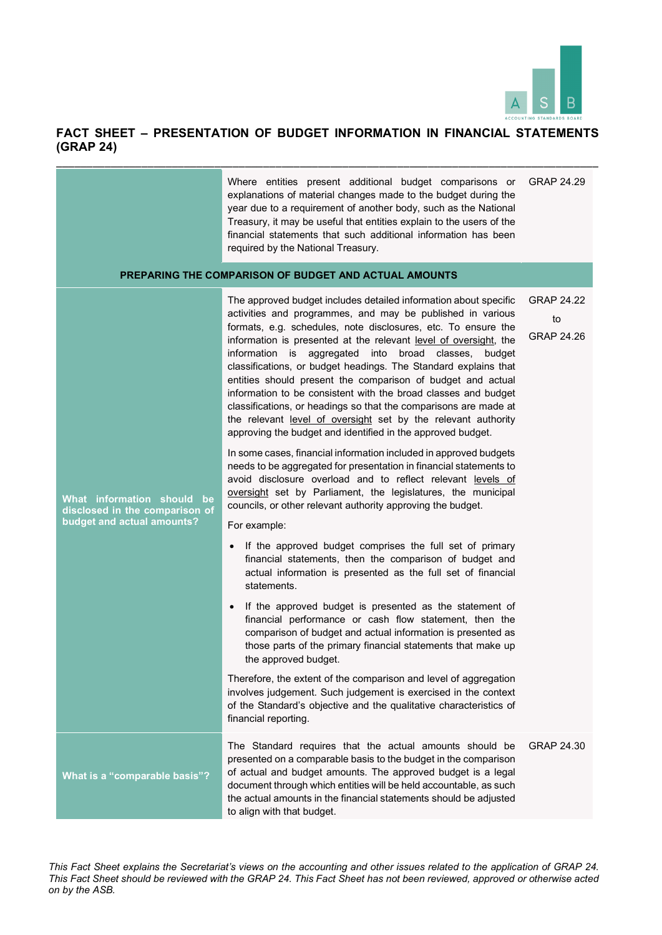

#### **FACT SHEET – PRESENTATION OF BUDGET INFORMATION IN FINANCIAL STATEMENTS (GRAP 24)**  \_\_\_\_\_\_\_\_\_\_\_\_\_\_\_\_\_\_\_\_\_\_\_\_\_\_\_\_\_\_\_\_\_\_\_\_\_\_\_\_\_\_\_\_\_\_\_\_\_\_\_\_\_\_\_\_\_\_\_\_\_\_\_\_\_\_\_\_\_\_\_\_\_\_\_\_\_\_\_\_\_\_\_\_\_\_\_\_\_

|                                                                                            | Where entities present additional budget comparisons or<br>explanations of material changes made to the budget during the<br>year due to a requirement of another body, such as the National<br>Treasury, it may be useful that entities explain to the users of the<br>financial statements that such additional information has been<br>required by the National Treasury.                                                                                                                                                                                                                                                                                                                                                                                                                                                                                                                                                                                                                                                                                                                                                                                                                                                                                                                                                                                                                                                                                                                                                                                                                                | GRAP 24.29                                   |
|--------------------------------------------------------------------------------------------|-------------------------------------------------------------------------------------------------------------------------------------------------------------------------------------------------------------------------------------------------------------------------------------------------------------------------------------------------------------------------------------------------------------------------------------------------------------------------------------------------------------------------------------------------------------------------------------------------------------------------------------------------------------------------------------------------------------------------------------------------------------------------------------------------------------------------------------------------------------------------------------------------------------------------------------------------------------------------------------------------------------------------------------------------------------------------------------------------------------------------------------------------------------------------------------------------------------------------------------------------------------------------------------------------------------------------------------------------------------------------------------------------------------------------------------------------------------------------------------------------------------------------------------------------------------------------------------------------------------|----------------------------------------------|
|                                                                                            | PREPARING THE COMPARISON OF BUDGET AND ACTUAL AMOUNTS                                                                                                                                                                                                                                                                                                                                                                                                                                                                                                                                                                                                                                                                                                                                                                                                                                                                                                                                                                                                                                                                                                                                                                                                                                                                                                                                                                                                                                                                                                                                                       |                                              |
| What information should be<br>disclosed in the comparison of<br>budget and actual amounts? | The approved budget includes detailed information about specific<br>activities and programmes, and may be published in various<br>formats, e.g. schedules, note disclosures, etc. To ensure the<br>information is presented at the relevant level of oversight, the<br>information is aggregated into broad classes,<br>budget<br>classifications, or budget headings. The Standard explains that<br>entities should present the comparison of budget and actual<br>information to be consistent with the broad classes and budget<br>classifications, or headings so that the comparisons are made at<br>the relevant level of oversight set by the relevant authority<br>approving the budget and identified in the approved budget.<br>In some cases, financial information included in approved budgets<br>needs to be aggregated for presentation in financial statements to<br>avoid disclosure overload and to reflect relevant levels of<br>oversight set by Parliament, the legislatures, the municipal<br>councils, or other relevant authority approving the budget.<br>For example:<br>If the approved budget comprises the full set of primary<br>$\bullet$<br>financial statements, then the comparison of budget and<br>actual information is presented as the full set of financial<br>statements.<br>If the approved budget is presented as the statement of<br>$\bullet$<br>financial performance or cash flow statement, then the<br>comparison of budget and actual information is presented as<br>those parts of the primary financial statements that make up<br>the approved budget. | <b>GRAP 24.22</b><br>to<br><b>GRAP 24.26</b> |
|                                                                                            | Therefore, the extent of the comparison and level of aggregation<br>involves judgement. Such judgement is exercised in the context<br>of the Standard's objective and the qualitative characteristics of<br>financial reporting.                                                                                                                                                                                                                                                                                                                                                                                                                                                                                                                                                                                                                                                                                                                                                                                                                                                                                                                                                                                                                                                                                                                                                                                                                                                                                                                                                                            |                                              |
| What is a "comparable basis"?                                                              | The Standard requires that the actual amounts should be<br>presented on a comparable basis to the budget in the comparison<br>of actual and budget amounts. The approved budget is a legal<br>document through which entities will be held accountable, as such<br>the actual amounts in the financial statements should be adjusted<br>to align with that budget.                                                                                                                                                                                                                                                                                                                                                                                                                                                                                                                                                                                                                                                                                                                                                                                                                                                                                                                                                                                                                                                                                                                                                                                                                                          | GRAP 24.30                                   |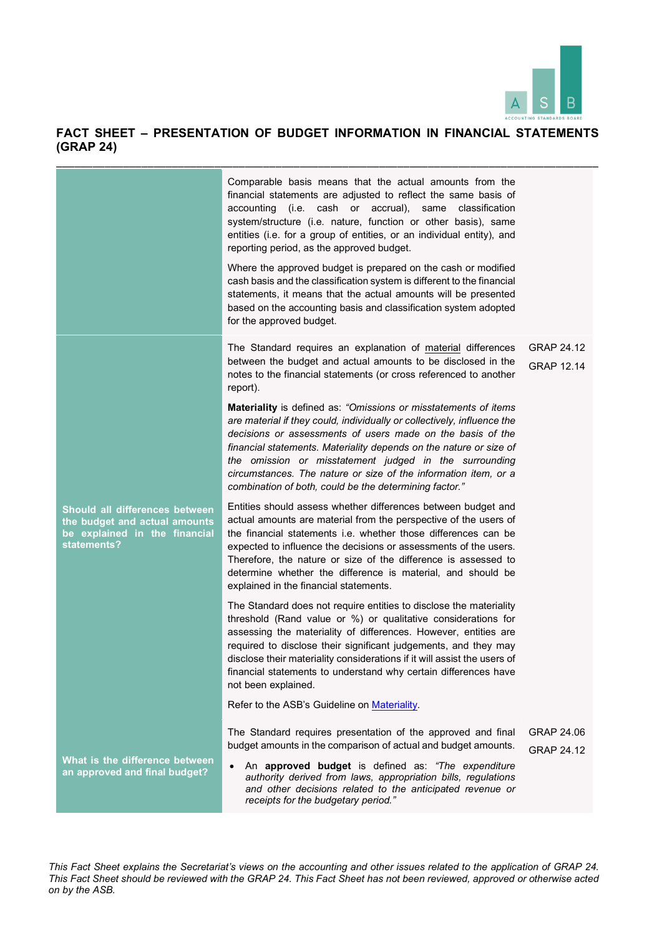

|                                                                                                                 | Comparable basis means that the actual amounts from the<br>financial statements are adjusted to reflect the same basis of<br>accounting (i.e. cash or accrual), same classification<br>system/structure (i.e. nature, function or other basis), same<br>entities (i.e. for a group of entities, or an individual entity), and<br>reporting period, as the approved budget.<br>Where the approved budget is prepared on the cash or modified<br>cash basis and the classification system is different to the financial<br>statements, it means that the actual amounts will be presented<br>based on the accounting basis and classification system adopted<br>for the approved budget. |                                        |
|-----------------------------------------------------------------------------------------------------------------|----------------------------------------------------------------------------------------------------------------------------------------------------------------------------------------------------------------------------------------------------------------------------------------------------------------------------------------------------------------------------------------------------------------------------------------------------------------------------------------------------------------------------------------------------------------------------------------------------------------------------------------------------------------------------------------|----------------------------------------|
|                                                                                                                 | The Standard requires an explanation of material differences<br>between the budget and actual amounts to be disclosed in the<br>notes to the financial statements (or cross referenced to another<br>report).                                                                                                                                                                                                                                                                                                                                                                                                                                                                          | <b>GRAP 24.12</b><br><b>GRAP 12.14</b> |
|                                                                                                                 | Materiality is defined as: "Omissions or misstatements of items<br>are material if they could, individually or collectively, influence the<br>decisions or assessments of users made on the basis of the<br>financial statements. Materiality depends on the nature or size of<br>the omission or misstatement judged in the surrounding<br>circumstances. The nature or size of the information item, or a<br>combination of both, could be the determining factor."                                                                                                                                                                                                                  |                                        |
| Should all differences between<br>the budget and actual amounts<br>be explained in the financial<br>statements? | Entities should assess whether differences between budget and<br>actual amounts are material from the perspective of the users of<br>the financial statements i.e. whether those differences can be<br>expected to influence the decisions or assessments of the users.<br>Therefore, the nature or size of the difference is assessed to<br>determine whether the difference is material, and should be<br>explained in the financial statements.                                                                                                                                                                                                                                     |                                        |
|                                                                                                                 | The Standard does not require entities to disclose the materiality<br>threshold (Rand value or %) or qualitative considerations for<br>assessing the materiality of differences. However, entities are<br>required to disclose their significant judgements, and they may<br>disclose their materiality considerations if it will assist the users of<br>financial statements to understand why certain differences have<br>not been explained.                                                                                                                                                                                                                                        |                                        |
|                                                                                                                 | Refer to the ASB's Guideline on Materiality.                                                                                                                                                                                                                                                                                                                                                                                                                                                                                                                                                                                                                                           |                                        |
| What is the difference between                                                                                  | The Standard requires presentation of the approved and final<br>budget amounts in the comparison of actual and budget amounts.<br>An approved budget is defined as: "The expenditure                                                                                                                                                                                                                                                                                                                                                                                                                                                                                                   | <b>GRAP 24.06</b><br><b>GRAP 24.12</b> |
| an approved and final budget?                                                                                   | authority derived from laws, appropriation bills, regulations<br>and other decisions related to the anticipated revenue or<br>receipts for the budgetary period."                                                                                                                                                                                                                                                                                                                                                                                                                                                                                                                      |                                        |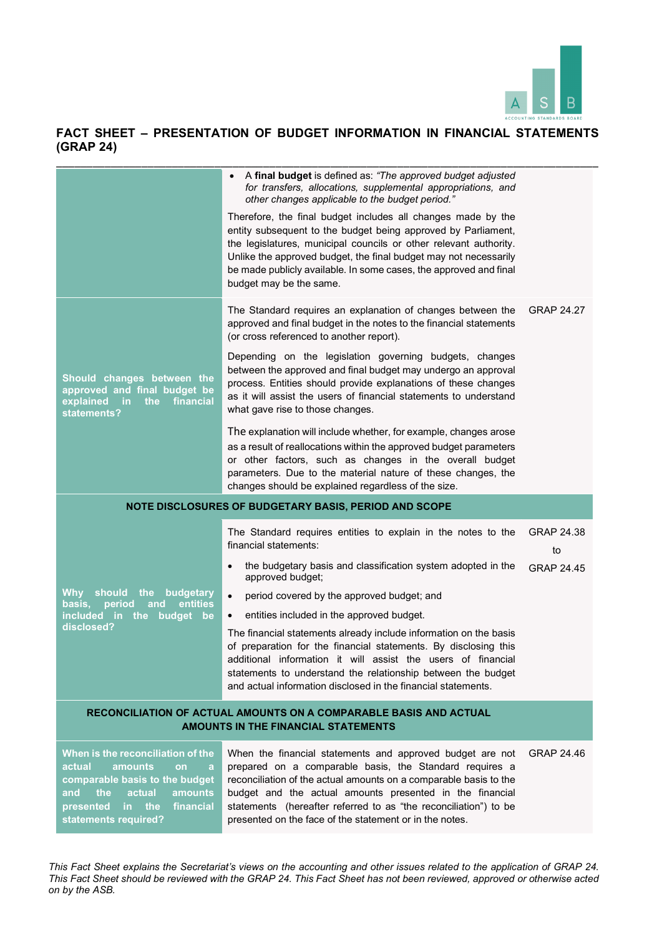

|                                                                                                                                        | A final budget is defined as: "The approved budget adjusted<br>for transfers, allocations, supplemental appropriations, and<br>other changes applicable to the budget period."                                                                                                                                                                                         |                         |
|----------------------------------------------------------------------------------------------------------------------------------------|------------------------------------------------------------------------------------------------------------------------------------------------------------------------------------------------------------------------------------------------------------------------------------------------------------------------------------------------------------------------|-------------------------|
|                                                                                                                                        | Therefore, the final budget includes all changes made by the<br>entity subsequent to the budget being approved by Parliament,<br>the legislatures, municipal councils or other relevant authority.<br>Unlike the approved budget, the final budget may not necessarily<br>be made publicly available. In some cases, the approved and final<br>budget may be the same. |                         |
|                                                                                                                                        | The Standard requires an explanation of changes between the<br>approved and final budget in the notes to the financial statements<br>(or cross referenced to another report).                                                                                                                                                                                          | GRAP 24.27              |
| Should changes between the<br>approved and final budget be<br>financial<br>explained<br><u>in</u><br>the<br>statements?                | Depending on the legislation governing budgets, changes<br>between the approved and final budget may undergo an approval<br>process. Entities should provide explanations of these changes<br>as it will assist the users of financial statements to understand<br>what gave rise to those changes.                                                                    |                         |
|                                                                                                                                        | The explanation will include whether, for example, changes arose<br>as a result of reallocations within the approved budget parameters<br>or other factors, such as changes in the overall budget<br>parameters. Due to the material nature of these changes, the<br>changes should be explained regardless of the size.                                               |                         |
|                                                                                                                                        | NOTE DISCLOSURES OF BUDGETARY BASIS, PERIOD AND SCOPE                                                                                                                                                                                                                                                                                                                  |                         |
|                                                                                                                                        | The Standard requires entities to explain in the notes to the<br>financial statements:                                                                                                                                                                                                                                                                                 | <b>GRAP 24.38</b><br>to |
|                                                                                                                                        | the budgetary basis and classification system adopted in the<br>approved budget;                                                                                                                                                                                                                                                                                       | <b>GRAP 24.45</b>       |
| Why<br>should<br>the<br>budgetary<br>entities<br>basis,<br>period<br>and                                                               | period covered by the approved budget; and                                                                                                                                                                                                                                                                                                                             |                         |
| <b>included</b><br>the budget<br>⊟in ∶<br>be                                                                                           | entities included in the approved budget.<br>$\bullet$                                                                                                                                                                                                                                                                                                                 |                         |
| disclosed?                                                                                                                             | The financial statements already include information on the basis<br>of preparation for the financial statements. By disclosing this<br>additional information it will assist the users of financial<br>statements to understand the relationship between the budget<br>and actual information disclosed in the financial statements.                                  |                         |
| RECONCILIATION OF ACTUAL AMOUNTS ON A COMPARABLE BASIS AND ACTUAL<br><b>AMOUNTS IN THE FINANCIAL STATEMENTS</b>                        |                                                                                                                                                                                                                                                                                                                                                                        |                         |
| When is the reconciliation of the<br>actual<br>amounts<br>on<br>a<br>comparable basis to the budget<br>the<br>actual<br>amounts<br>and | When the financial statements and approved budget are not<br>prepared on a comparable basis, the Standard requires a<br>reconciliation of the actual amounts on a comparable basis to the                                                                                                                                                                              | GRAP 24.46              |